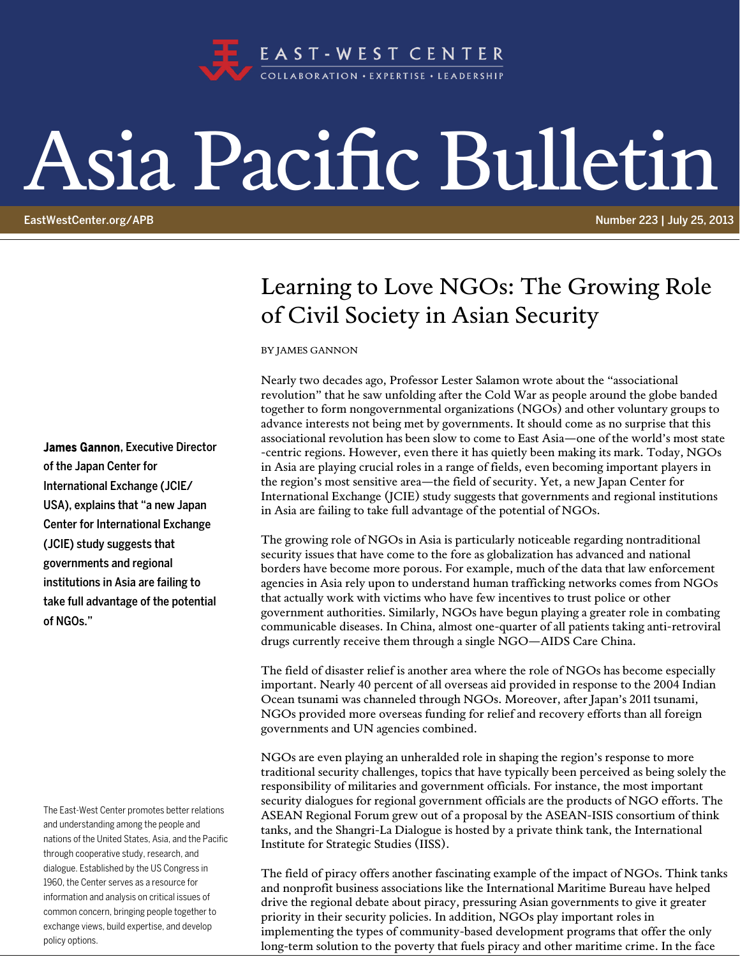

## Asia Pacific Bulletin

EastWestCenter.org/APB **Number 223 | July 25, 2013** 

## Learning to Love NGOs: The Growing Role of Civil Society in Asian Security

BY JAMES GANNON

Nearly two decades ago, Professor Lester Salamon wrote about the "associational revolution" that he saw unfolding after the Cold War as people around the globe banded together to form nongovernmental organizations (NGOs) and other voluntary groups to advance interests not being met by governments. It should come as no surprise that this associational revolution has been slow to come to East Asia—one of the world's most state -centric regions. However, even there it has quietly been making its mark. Today, NGOs in Asia are playing crucial roles in a range of fields, even becoming important players in the region's most sensitive area—the field of security. Yet, a new Japan Center for International Exchange (JCIE) study suggests that governments and regional institutions in Asia are failing to take full advantage of the potential of NGOs.

The growing role of NGOs in Asia is particularly noticeable regarding nontraditional security issues that have come to the fore as globalization has advanced and national borders have become more porous. For example, much of the data that law enforcement agencies in Asia rely upon to understand human trafficking networks comes from NGOs that actually work with victims who have few incentives to trust police or other government authorities. Similarly, NGOs have begun playing a greater role in combating communicable diseases. In China, almost one-quarter of all patients taking anti-retroviral drugs currently receive them through a single NGO—AIDS Care China.

The field of disaster relief is another area where the role of NGOs has become especially important. Nearly 40 percent of all overseas aid provided in response to the 2004 Indian Ocean tsunami was channeled through NGOs. Moreover, after Japan's 2011 tsunami, NGOs provided more overseas funding for relief and recovery efforts than all foreign governments and UN agencies combined.

NGOs are even playing an unheralded role in shaping the region's response to more traditional security challenges, topics that have typically been perceived as being solely the responsibility of militaries and government officials. For instance, the most important security dialogues for regional government officials are the products of NGO efforts. The ASEAN Regional Forum grew out of a proposal by the ASEAN-ISIS consortium of think tanks, and the Shangri-La Dialogue is hosted by a private think tank, the International Institute for Strategic Studies (IISS).

The field of piracy offers another fascinating example of the impact of NGOs. Think tanks and nonprofit business associations like the International Maritime Bureau have helped drive the regional debate about piracy, pressuring Asian governments to give it greater priority in their security policies. In addition, NGOs play important roles in implementing the types of community-based development programs that offer the only long-term solution to the poverty that fuels piracy and other maritime crime. In the face

James Gannon, Executive Director of the Japan Center for International Exchange (JCIE/ USA), explains that "a new Japan Center for International Exchange (JCIE) study suggests that governments and regional institutions in Asia are failing to take full advantage of the potential of NGOs."

The East-West Center promotes better relations and understanding among the people and nations of the United States, Asia, and the Pacific through cooperative study, research, and dialogue. Established by the US Congress in 1960, the Center serves as a resource for information and analysis on critical issues of common concern, bringing people together to exchange views, build expertise, and develop policy options.